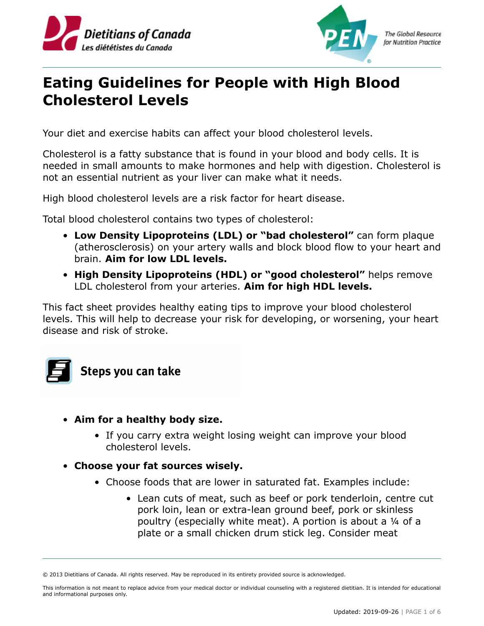



# **Eating Guidelines for People with High Blood Cholesterol Levels**

Your diet and exercise habits can affect your blood cholesterol levels.

Cholesterol is a fatty substance that is found in your blood and body cells. It is needed in small amounts to make hormones and help with digestion. Cholesterol is not an essential nutrient as your liver can make what it needs.

High blood cholesterol levels are a risk factor for heart disease.

Total blood cholesterol contains two types of cholesterol:

- **Low Density Lipoproteins (LDL) or "bad cholesterol"** can form plaque (atherosclerosis) on your artery walls and block blood flow to your heart and brain. **Aim for low LDL levels.**
- **High Density Lipoproteins (HDL) or "good cholesterol"** helps remove LDL cholesterol from your arteries. **Aim for high HDL levels.**

This fact sheet provides healthy eating tips to improve your blood cholesterol levels. This will help to decrease your risk for developing, or worsening, your heart disease and risk of stroke.



## Steps you can take

- **Aim for a healthy body size.**
	- If you carry extra weight losing weight can improve your blood cholesterol levels.
- **Choose your fat sources wisely.**
	- Choose foods that are lower in saturated fat. Examples include:
		- Lean cuts of meat, such as beef or pork tenderloin, centre cut pork loin, lean or extra-lean ground beef, pork or skinless poultry (especially white meat). A portion is about a ¼ of a plate or a small chicken drum stick leg. Consider meat

This information is not meant to replace advice from your medical doctor or individual counseling with a registered dietitian. It is intended for educational and informational purposes only.

<sup>© 2013</sup> Dietitians of Canada. All rights reserved. May be reproduced in its entirety provided source is acknowledged.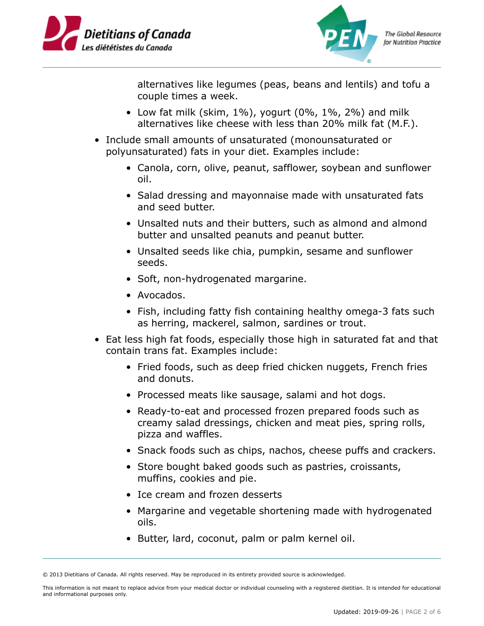



alternatives like legumes (peas, beans and lentils) and tofu a couple times a week.

- Low fat milk (skim,  $1\%$ ), yogurt (0%,  $1\%$ , 2%) and milk alternatives like cheese with less than 20% milk fat (M.F.).
- Include small amounts of unsaturated (monounsaturated or polyunsaturated) fats in your diet. Examples include:
	- Canola, corn, olive, peanut, safflower, soybean and sunflower oil.
	- Salad dressing and mayonnaise made with unsaturated fats and seed butter.
	- Unsalted nuts and their butters, such as almond and almond butter and unsalted peanuts and peanut butter.
	- Unsalted seeds like chia, pumpkin, sesame and sunflower seeds.
	- Soft, non-hydrogenated margarine.
	- Avocados.
	- Fish, including fatty fish containing healthy omega-3 fats such as herring, mackerel, salmon, sardines or trout.
- Eat less high fat foods, especially those high in saturated fat and that contain trans fat. Examples include:
	- Fried foods, such as deep fried chicken nuggets, French fries and donuts.
	- Processed meats like sausage, salami and hot dogs.
	- Ready-to-eat and processed frozen prepared foods such as creamy salad dressings, chicken and meat pies, spring rolls, pizza and waffles.
	- Snack foods such as chips, nachos, cheese puffs and crackers.
	- Store bought baked goods such as pastries, croissants, muffins, cookies and pie.
	- Ice cream and frozen desserts
	- Margarine and vegetable shortening made with hydrogenated oils.
	- Butter, lard, coconut, palm or palm kernel oil.

<sup>© 2013</sup> Dietitians of Canada. All rights reserved. May be reproduced in its entirety provided source is acknowledged.

This information is not meant to replace advice from your medical doctor or individual counseling with a registered dietitian. It is intended for educational and informational purposes only.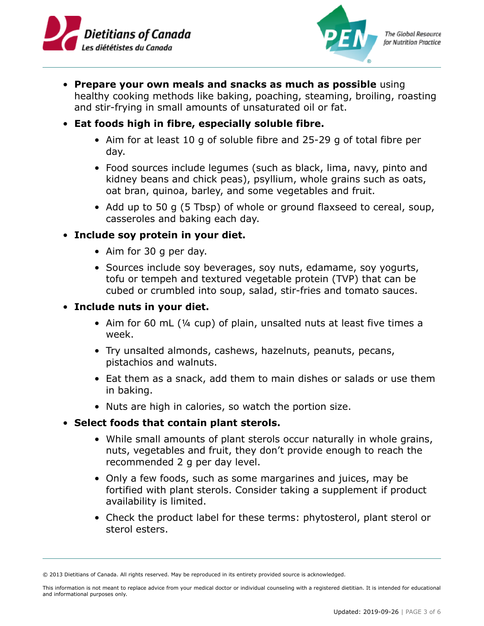



- **Prepare your own meals and snacks as much as possible** using healthy cooking methods like baking, poaching, steaming, broiling, roasting and stir-frying in small amounts of unsaturated oil or fat.
- **Eat foods high in fibre, especially soluble fibre.**
	- Aim for at least 10 g of soluble fibre and 25-29 g of total fibre per day.
	- Food sources include legumes (such as black, lima, navy, pinto and kidney beans and chick peas), psyllium, whole grains such as oats, oat bran, quinoa, barley, and some vegetables and fruit.
	- Add up to 50 g (5 Tbsp) of whole or ground flaxseed to cereal, soup, casseroles and baking each day.

#### • **Include soy protein in your diet.**

- Aim for 30 g per day.
- Sources include soy beverages, soy nuts, edamame, soy yogurts, tofu or tempeh and textured vegetable protein (TVP) that can be cubed or crumbled into soup, salad, stir-fries and tomato sauces.

#### • **Include nuts in your diet.**

- Aim for 60 mL (1/4 cup) of plain, unsalted nuts at least five times a week.
- Try unsalted almonds, cashews, hazelnuts, peanuts, pecans, pistachios and walnuts.
- Eat them as a snack, add them to main dishes or salads or use them in baking.
- Nuts are high in calories, so watch the portion size.

#### • **Select foods that contain plant sterols.**

- While small amounts of plant sterols occur naturally in whole grains, nuts, vegetables and fruit, they don't provide enough to reach the recommended 2 g per day level.
- Only a few foods, such as some margarines and juices, may be fortified with plant sterols. Consider taking a supplement if product availability is limited.
- Check the product label for these terms: phytosterol, plant sterol or sterol esters.

<sup>© 2013</sup> Dietitians of Canada. All rights reserved. May be reproduced in its entirety provided source is acknowledged.

This information is not meant to replace advice from your medical doctor or individual counseling with a registered dietitian. It is intended for educational and informational purposes only.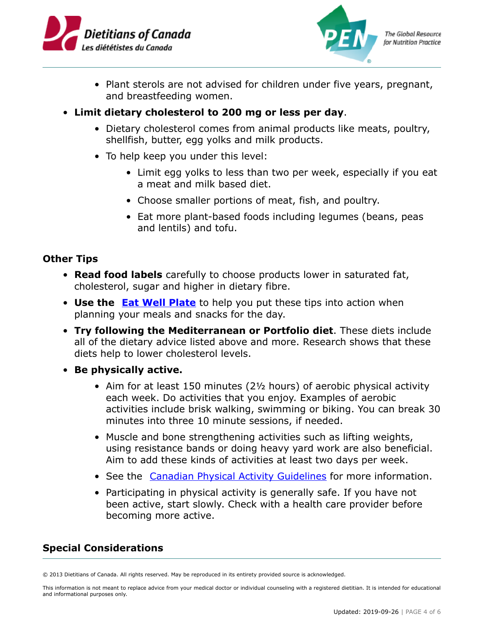



- Plant sterols are not advised for children under five years, pregnant, and breastfeeding women.
- **Limit dietary cholesterol to 200 mg or less per day**.
	- Dietary cholesterol comes from animal products like meats, poultry, shellfish, butter, egg yolks and milk products.
	- To help keep you under this level:
		- Limit egg yolks to less than two per week, especially if you eat a meat and milk based diet.
		- Choose smaller portions of meat, fish, and poultry.
		- Eat more plant-based foods including legumes (beans, peas and lentils) and tofu.

### **Other Tips**

- **Read food labels** carefully to choose products lower in saturated fat, cholesterol, sugar and higher in dietary fibre.
- Use the **Eat Well Plate** to help you put these tips into action when planning your meals and snacks for the day.
- **Try following the Mediterranean or Portfolio diet**. These diets include all of the dietary advice listed above and more. Research shows that these diets help to lower cholesterol levels.
- **Be physically active.**
	- Aim for at least 150 minutes (21/2 hours) of aerobic physical activity each week. Do activities that you enjoy. Examples of aerobic activities include brisk walking, swimming or biking. You can break 30 minutes into three 10 minute sessions, if needed.
	- Muscle and bone strengthening activities such as lifting weights, using resistance bands or doing heavy yard work are also beneficial. Aim to add these kinds of activities at least two days per week.
	- See the **Canadian Physical Activity Guidelines** for more information.
	- Participating in physical activity is generally safe. If you have not been active, start slowly. Check with a health care provider before becoming more active.

### **Special Considerations**

<sup>© 2013</sup> Dietitians of Canada. All rights reserved. May be reproduced in its entirety provided source is acknowledged.

This information is not meant to replace advice from your medical doctor or individual counseling with a registered dietitian. It is intended for educational and informational purposes only.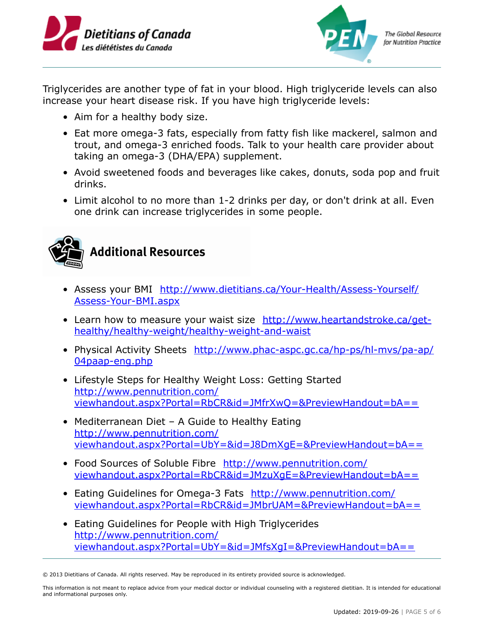



**The Global Resource** for Nutrition Practice

Triglycerides are another type of fat in your blood. High triglyceride levels can also increase your heart disease risk. If you have high triglyceride levels:

- Aim for a healthy body size.
- Eat more omega-3 fats, especially from fatty fish like mackerel, salmon and trout, and omega-3 enriched foods. Talk to your health care provider about taking an omega-3 (DHA/EPA) supplement.
- Avoid sweetened foods and beverages like cakes, donuts, soda pop and fruit drinks.
- Limit alcohol to no more than 1-2 drinks per day, or don't drink at all. Even one drink can increase triglycerides in some people.



- Assess your BMI http://www.dietitians.ca/Your-Health/Assess-Yourself/ Assess-Your-BMI.aspx
- Learn how to measure your waist size http://www.heartandstroke.ca/gethealthy/healthy-weight/healthy-weight-and-waist
- Physical Activity Sheets http://www.phac-aspc.gc.ca/hp-ps/hl-mvs/pa-ap/ 04paap-eng.php
- Lifestyle Steps for Healthy Weight Loss: Getting Started http://www.pennutrition.com/ viewhandout.aspx?Portal=RbCR&id=JMfrXwQ=&PreviewHandout=bA==
- Mediterranean Diet A Guide to Healthy Eating http://www.pennutrition.com/ viewhandout.aspx?Portal=UbY=&id=J8DmXgE=&PreviewHandout=bA==
- Food Sources of Soluble Fibre http://www.pennutrition.com/ viewhandout.aspx?Portal=RbCR&id=JMzuXgE=&PreviewHandout=bA==
- Eating Guidelines for Omega-3 Fats http://www.pennutrition.com/ viewhandout.aspx?Portal=RbCR&id=JMbrUAM=&PreviewHandout=bA==
- Eating Guidelines for People with High Triglycerides . http://www.pennutrition.com/ viewhandout.aspx?Portal=UbY=&id=JMfsXgI=&PreviewHandout=bA==

<sup>© 2013</sup> Dietitians of Canada. All rights reserved. May be reproduced in its entirety provided source is acknowledged.

This information is not meant to replace advice from your medical doctor or individual counseling with a registered dietitian. It is intended for educational and informational purposes only.